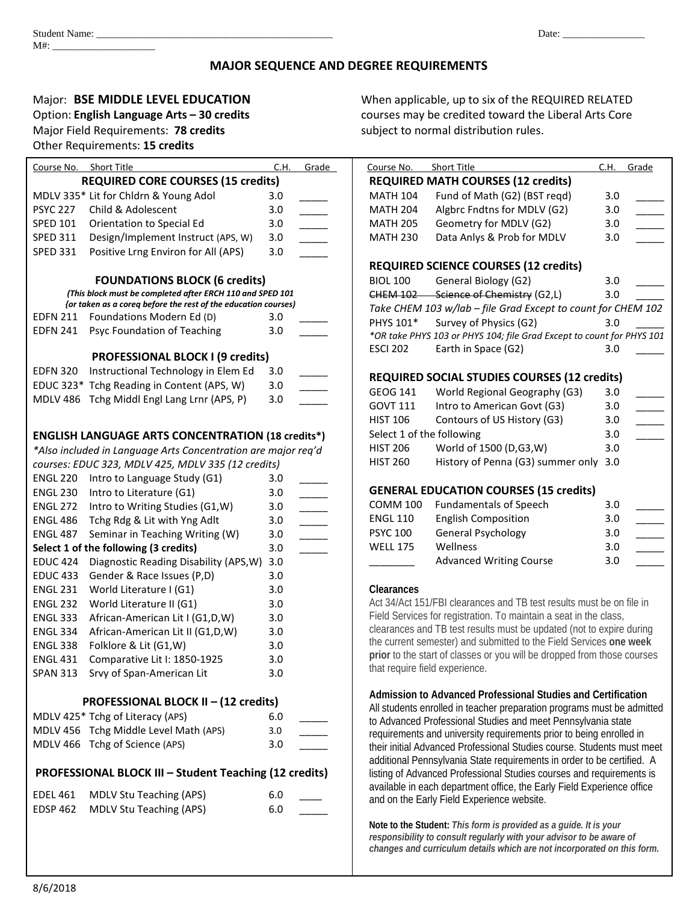## **MAJOR SEQUENCE AND DEGREE REQUIREMENTS**

## Major Field Requirements: 78 credits subject to normal distribution rules. Other Requirements: **15 credits**

| Course No.                                                     | <b>Short Title</b>                                            | Grade<br>C.H.                   | Course No.                | Short Title                                                                                                                                    | C.H.<br>Grade |
|----------------------------------------------------------------|---------------------------------------------------------------|---------------------------------|---------------------------|------------------------------------------------------------------------------------------------------------------------------------------------|---------------|
|                                                                | <b>REQUIRED CORE COURSES (15 credits)</b>                     |                                 |                           | <b>REQUIRED MATH COURSES (12 credits)</b>                                                                                                      |               |
|                                                                |                                                               |                                 |                           |                                                                                                                                                |               |
|                                                                | MDLV 335* Lit for Chldrn & Young Adol                         | 3.0                             | <b>MATH 104</b>           | Fund of Math (G2) (BST regd)                                                                                                                   | 3.0           |
| <b>PSYC 227</b>                                                | Child & Adolescent                                            | 3.0<br>$\overline{\phantom{a}}$ | <b>MATH 204</b>           | Algbrc Fndtns for MDLV (G2)                                                                                                                    | 3.0           |
| <b>SPED 101</b>                                                | Orientation to Special Ed                                     | 3.0<br>$\overline{\phantom{a}}$ | <b>MATH 205</b>           | Geometry for MDLV (G2)                                                                                                                         | 3.0           |
| <b>SPED 311</b>                                                | Design/Implement Instruct (APS, W)                            | 3.0<br>$\overline{\phantom{a}}$ | <b>MATH 230</b>           | Data Anlys & Prob for MDLV                                                                                                                     | 3.0           |
| <b>SPED 331</b>                                                | Positive Lrng Environ for All (APS)                           | 3.0                             |                           | <b>REQUIRED SCIENCE COURSES (12 credits)</b>                                                                                                   |               |
| <b>FOUNDATIONS BLOCK (6 credits)</b>                           |                                                               |                                 | <b>BIOL 100</b>           | General Biology (G2)                                                                                                                           | 3.0           |
| (This block must be completed after ERCH 110 and SPED 101      |                                                               |                                 | <b>CHEM 102</b>           | Science of Chemistry (G2,L)                                                                                                                    | 3.0           |
| {or taken as a coreq before the rest of the education courses) |                                                               |                                 |                           | Take CHEM 103 w/lab - file Grad Except to count for CHEM 10                                                                                    |               |
|                                                                | EDFN 211 Foundations Modern Ed (D)                            | 3.0                             | PHYS 101*                 | Survey of Physics (G2)                                                                                                                         | 3.0           |
| <b>EDFN 241</b>                                                | Psyc Foundation of Teaching                                   | 3.0                             |                           | *OR take PHYS 103 or PHYS 104; file Grad Except to count for PHYS 1                                                                            |               |
|                                                                |                                                               |                                 | <b>ESCI 202</b>           | Earth in Space (G2)                                                                                                                            | 3.0           |
|                                                                | <b>PROFESSIONAL BLOCK I (9 credits)</b>                       |                                 |                           |                                                                                                                                                |               |
|                                                                | EDFN 320 Instructional Technology in Elem Ed                  | 3.0                             |                           | <b>REQUIRED SOCIAL STUDIES COURSES (12 credits)</b>                                                                                            |               |
|                                                                | EDUC 323* Tchg Reading in Content (APS, W)                    | 3.0                             | <b>GEOG 141</b>           | World Regional Geography (G3)                                                                                                                  | 3.0           |
|                                                                | MDLV 486 Tchg Middl Engl Lang Lrnr (APS, P)                   | 3.0                             | GOVT 111                  | Intro to American Govt (G3)                                                                                                                    | 3.0           |
|                                                                |                                                               |                                 |                           |                                                                                                                                                |               |
|                                                                |                                                               |                                 | <b>HIST 106</b>           | Contours of US History (G3)                                                                                                                    | 3.0           |
|                                                                | <b>ENGLISH LANGUAGE ARTS CONCENTRATION (18 credits*)</b>      |                                 | Select 1 of the following |                                                                                                                                                | 3.0           |
|                                                                | *Also included in Language Arts Concentration are major req'd |                                 | <b>HIST 206</b>           | World of 1500 (D,G3,W)                                                                                                                         | 3.0           |
|                                                                | courses: EDUC 323, MDLV 425, MDLV 335 (12 credits)            |                                 | <b>HIST 260</b>           | History of Penna (G3) summer only 3.0                                                                                                          |               |
| ENGL 220                                                       | Intro to Language Study (G1)                                  | 3.0                             |                           |                                                                                                                                                |               |
| <b>ENGL 230</b>                                                | Intro to Literature (G1)                                      | 3.0<br>$\overline{\phantom{a}}$ |                           | <b>GENERAL EDUCATION COURSES (15 credits)</b>                                                                                                  |               |
| <b>ENGL 272</b>                                                | Intro to Writing Studies (G1, W)                              | 3.0<br>$\overline{\phantom{a}}$ | <b>COMM 100</b>           | <b>Fundamentals of Speech</b>                                                                                                                  | 3.0           |
| ENGL 486                                                       | Tchg Rdg & Lit with Yng Adlt                                  | $\overline{\phantom{a}}$<br>3.0 | <b>ENGL 110</b>           | <b>English Composition</b>                                                                                                                     | 3.0           |
| ENGL 487                                                       | Seminar in Teaching Writing (W)                               | $\overline{\phantom{a}}$<br>3.0 | <b>PSYC 100</b>           | <b>General Psychology</b>                                                                                                                      | 3.0           |
|                                                                | Select 1 of the following (3 credits)                         | 3.0                             | <b>WELL 175</b>           | Wellness                                                                                                                                       | 3.0           |
| <b>EDUC 424</b>                                                | Diagnostic Reading Disability (APS, W)                        | 3.0                             |                           | <b>Advanced Writing Course</b>                                                                                                                 | 3.0           |
| <b>EDUC 433</b>                                                | Gender & Race Issues (P,D)                                    | 3.0                             |                           |                                                                                                                                                |               |
| <b>ENGL 231</b>                                                | World Literature I (G1)                                       | 3.0                             | Clearances                |                                                                                                                                                |               |
| <b>ENGL 232</b>                                                | World Literature II (G1)                                      | 3.0                             |                           | Act 34/Act 151/FBI clearances and TB test results must be on file in                                                                           |               |
| <b>ENGL 333</b>                                                | African-American Lit I (G1,D,W)                               | 3.0                             |                           | Field Services for registration. To maintain a seat in the class,                                                                              |               |
| <b>ENGL 334</b>                                                | African-American Lit II (G1,D,W)                              | 3.0                             |                           | clearances and TB test results must be updated (not to expire during                                                                           |               |
| <b>ENGL 338</b>                                                | Folklore & Lit (G1,W)                                         | 3.0                             |                           | the current semester) and submitted to the Field Services one week                                                                             |               |
| <b>ENGL 431</b>                                                | Comparative Lit I: 1850-1925                                  | 3.0                             |                           | prior to the start of classes or you will be dropped from those course:                                                                        |               |
|                                                                | SPAN 313 Srvy of Span-American Lit                            | 3.0                             |                           | that require field experience.                                                                                                                 |               |
|                                                                |                                                               |                                 |                           |                                                                                                                                                |               |
|                                                                | PROFESSIONAL BLOCK II - (12 credits)                          |                                 |                           | Admission to Advanced Professional Studies and Certification                                                                                   |               |
|                                                                | MDLV 425* Tchg of Literacy (APS)                              | 6.0                             |                           | All students enrolled in teacher preparation programs must be admitte                                                                          |               |
|                                                                | MDLV 456 Tchg Middle Level Math (APS)                         | 3.0                             |                           | to Advanced Professional Studies and meet Pennsylvania state                                                                                   |               |
|                                                                | MDLV 466 Tchg of Science (APS)                                | 3.0                             |                           | requirements and university requirements prior to being enrolled in                                                                            |               |
|                                                                |                                                               |                                 |                           | their initial Advanced Professional Studies course. Students must me                                                                           |               |
|                                                                | PROFESSIONAL BLOCK III - Student Teaching (12 credits)        |                                 |                           | additional Pennsylvania State requirements in order to be certified. A<br>listing of Advanced Professional Studies courses and requirements is |               |
|                                                                |                                                               |                                 |                           | available in each department office, the Early Field Experience office                                                                         |               |
| <b>EDEL 461</b>                                                | <b>MDLV Stu Teaching (APS)</b>                                | 6.0                             |                           | and on the Early Field Experience website.                                                                                                     |               |
| <b>EDSP 462</b>                                                | <b>MDLV Stu Teaching (APS)</b>                                | 6.0                             |                           |                                                                                                                                                |               |
|                                                                |                                                               |                                 |                           | Note to the Student: This form is provided as a guide. It is your                                                                              |               |
|                                                                |                                                               |                                 |                           | responsibility to consult requirerly with your advisor to be aware of                                                                          |               |

Major: **BSE MIDDLE LEVEL EDUCATION** When applicable, up to six of the REQUIRED RELATED Option: **English Language Arts - 30 credits** courses may be credited toward the Liberal Arts Core

| Course No.                                                             | Short Title                                                             | C.H. | Grade |  |  |  |  |
|------------------------------------------------------------------------|-------------------------------------------------------------------------|------|-------|--|--|--|--|
|                                                                        | <b>REQUIRED MATH COURSES (12 credits)</b>                               |      |       |  |  |  |  |
| <b>MATH 104</b>                                                        | Fund of Math (G2) (BST reqd)                                            | 3.0  |       |  |  |  |  |
| <b>MATH 204</b>                                                        | Algbrc Fndtns for MDLV (G2)                                             | 3.0  |       |  |  |  |  |
| <b>MATH 205</b>                                                        | Geometry for MDLV (G2)                                                  | 3.0  |       |  |  |  |  |
| <b>MATH 230</b>                                                        | Data Anlys & Prob for MDLV                                              | 3.0  |       |  |  |  |  |
|                                                                        |                                                                         |      |       |  |  |  |  |
| <b>REQUIRED SCIENCE COURSES (12 credits)</b>                           |                                                                         |      |       |  |  |  |  |
| <b>BIOL 100</b>                                                        | General Biology (G2)                                                    | 3.0  |       |  |  |  |  |
|                                                                        | CHEM 102 Science of Chemistry (G2,L)                                    | 3.0  |       |  |  |  |  |
|                                                                        | Take CHEM 103 w/lab - file Grad Except to count for CHEM 102            |      |       |  |  |  |  |
| PHYS 101*                                                              | Survey of Physics (G2)                                                  | 3.0  |       |  |  |  |  |
|                                                                        | *OR take PHYS 103 or PHYS 104; file Grad Except to count for PHYS 101   |      |       |  |  |  |  |
| <b>ESCI 202</b>                                                        | Earth in Space (G2)                                                     | 3.0  |       |  |  |  |  |
|                                                                        |                                                                         |      |       |  |  |  |  |
| <b>REQUIRED SOCIAL STUDIES COURSES (12 credits)</b>                    |                                                                         |      |       |  |  |  |  |
| <b>GEOG 141</b>                                                        | World Regional Geography (G3)                                           | 3.0  |       |  |  |  |  |
| <b>GOVT 111</b>                                                        | Intro to American Govt (G3)                                             | 3.0  |       |  |  |  |  |
| <b>HIST 106</b>                                                        | Contours of US History (G3)                                             | 3.0  |       |  |  |  |  |
| Select 1 of the following                                              |                                                                         | 3.0  |       |  |  |  |  |
| <b>HIST 206</b>                                                        | World of 1500 (D,G3,W)                                                  | 3.0  |       |  |  |  |  |
| <b>HIST 260</b>                                                        | History of Penna (G3) summer only                                       | 3.0  |       |  |  |  |  |
|                                                                        |                                                                         |      |       |  |  |  |  |
|                                                                        | <b>GENERAL EDUCATION COURSES (15 credits)</b>                           |      |       |  |  |  |  |
| <b>COMM 100</b>                                                        | <b>Fundamentals of Speech</b>                                           | 3.0  |       |  |  |  |  |
|                                                                        |                                                                         |      |       |  |  |  |  |
| <b>ENGL 110</b>                                                        | <b>English Composition</b>                                              | 3.0  |       |  |  |  |  |
| <b>PSYC 100</b>                                                        | <b>General Psychology</b>                                               | 3.0  |       |  |  |  |  |
| <b>WELL 175</b>                                                        | Wellness                                                                | 3.0  |       |  |  |  |  |
|                                                                        | <b>Advanced Writing Course</b>                                          | 3.0  |       |  |  |  |  |
| Clearances                                                             |                                                                         |      |       |  |  |  |  |
|                                                                        | Act 34/Act 151/FBI clearances and TB test results must be on file in    |      |       |  |  |  |  |
|                                                                        | Field Services for registration. To maintain a seat in the class,       |      |       |  |  |  |  |
|                                                                        | clearances and TB test results must be updated (not to expire during    |      |       |  |  |  |  |
|                                                                        | the current semester) and submitted to the Field Services one week      |      |       |  |  |  |  |
|                                                                        | prior to the start of classes or you will be dropped from those courses |      |       |  |  |  |  |
|                                                                        | that require field experience.                                          |      |       |  |  |  |  |
|                                                                        |                                                                         |      |       |  |  |  |  |
| Admission to Advanced Professional Studies and Certification           |                                                                         |      |       |  |  |  |  |
| All students enrolled in teacher preparation programs must be admitted |                                                                         |      |       |  |  |  |  |
| to Advanced Professional Studies and meet Pennsylvania state           |                                                                         |      |       |  |  |  |  |
| requirements and university requirements prior to being enrolled in    |                                                                         |      |       |  |  |  |  |
| their initial Advanced Professional Studies course. Students must meet |                                                                         |      |       |  |  |  |  |
| additional Pennsylvania State requirements in order to be certified. A |                                                                         |      |       |  |  |  |  |
| listing of Advanced Professional Studies courses and requirements is   |                                                                         |      |       |  |  |  |  |
|                                                                        | available in each department office, the Early Field Experience office  |      |       |  |  |  |  |
|                                                                        | and on the Early Field Experience website.                              |      |       |  |  |  |  |
|                                                                        |                                                                         |      |       |  |  |  |  |
|                                                                        |                                                                         |      |       |  |  |  |  |

**Note to the Student:** *This form is provided as a guide. It is your responsibility to consult regularly with your advisor to be aware of changes and curriculum details which are not incorporated on this form.*